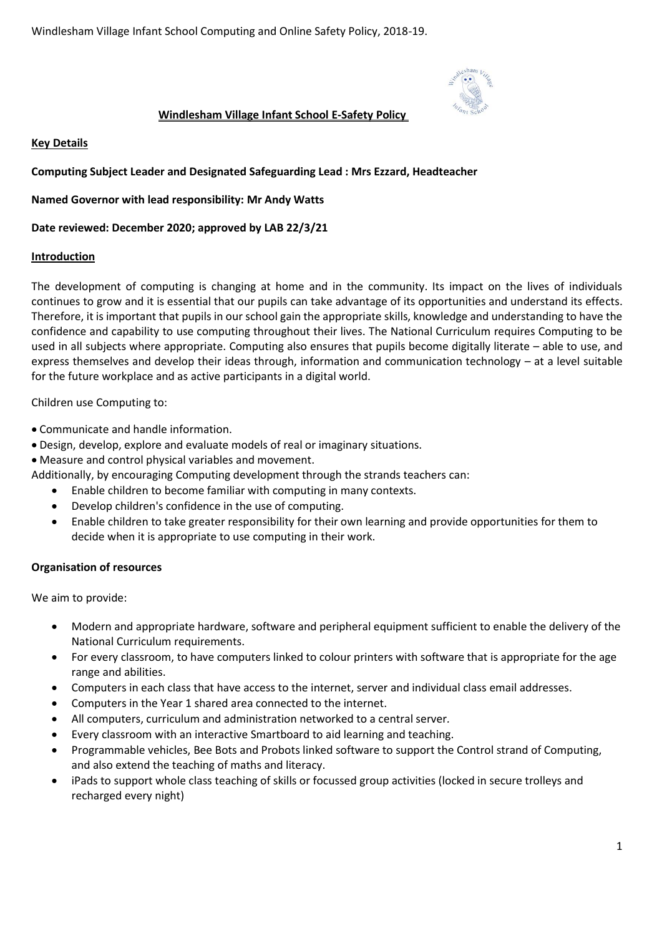

## **Windlesham Village Infant School E-Safety Policy**

**Key Details** 

**Computing Subject Leader and Designated Safeguarding Lead : Mrs Ezzard, Headteacher**

**Named Governor with lead responsibility: Mr Andy Watts**

**Date reviewed: December 2020; approved by LAB 22/3/21**

#### **Introduction**

The development of computing is changing at home and in the community. Its impact on the lives of individuals continues to grow and it is essential that our pupils can take advantage of its opportunities and understand its effects. Therefore, it is important that pupils in our school gain the appropriate skills, knowledge and understanding to have the confidence and capability to use computing throughout their lives. The National Curriculum requires Computing to be used in all subjects where appropriate. Computing also ensures that pupils become digitally literate – able to use, and express themselves and develop their ideas through, information and communication technology – at a level suitable for the future workplace and as active participants in a digital world.

Children use Computing to:

- Communicate and handle information.
- Design, develop, explore and evaluate models of real or imaginary situations.
- Measure and control physical variables and movement.

Additionally, by encouraging Computing development through the strands teachers can:

- Enable children to become familiar with computing in many contexts.
- Develop children's confidence in the use of computing.
- Enable children to take greater responsibility for their own learning and provide opportunities for them to decide when it is appropriate to use computing in their work.

#### **Organisation of resources**

We aim to provide:

- Modern and appropriate hardware, software and peripheral equipment sufficient to enable the delivery of the National Curriculum requirements.
- For every classroom, to have computers linked to colour printers with software that is appropriate for the age range and abilities.
- Computers in each class that have access to the internet, server and individual class email addresses.
- Computers in the Year 1 shared area connected to the internet.
- All computers, curriculum and administration networked to a central server*.*
- Every classroom with an interactive Smartboard to aid learning and teaching.
- Programmable vehicles, Bee Bots and Probots linked software to support the Control strand of Computing, and also extend the teaching of maths and literacy.
- iPads to support whole class teaching of skills or focussed group activities (locked in secure trolleys and recharged every night)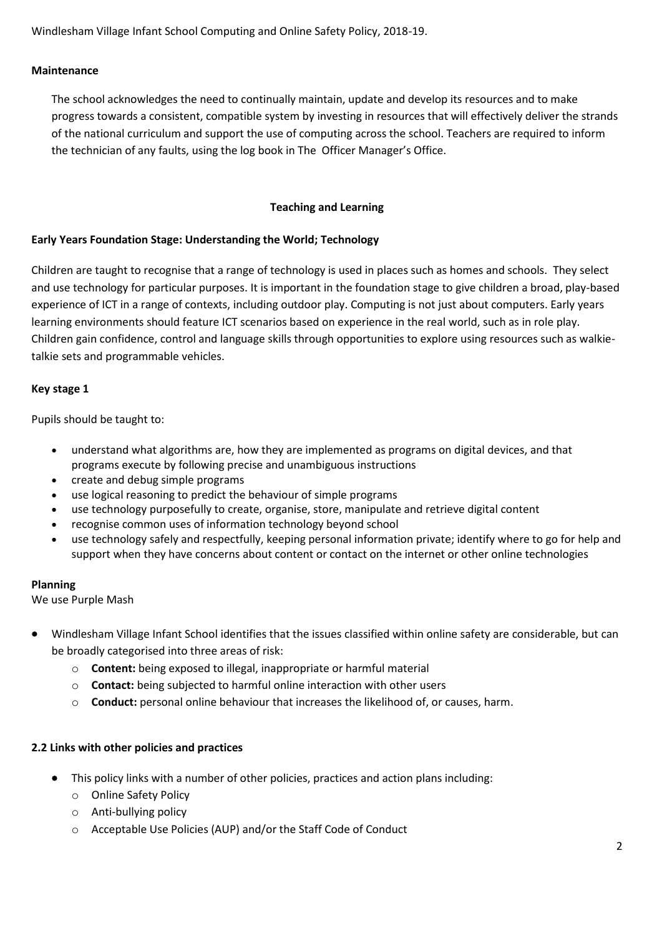#### **Maintenance**

The school acknowledges the need to continually maintain, update and develop its resources and to make progress towards a consistent, compatible system by investing in resources that will effectively deliver the strands of the national curriculum and support the use of computing across the school. Teachers are required to inform the technician of any faults, using the log book in The Officer Manager's Office.

#### **Teaching and Learning**

#### **Early Years Foundation Stage: Understanding the World; Technology**

Children are taught to recognise that a range of technology is used in places such as homes and schools. They select and use technology for particular purposes. It is important in the foundation stage to give children a broad, play-based experience of ICT in a range of contexts, including outdoor play. Computing is not just about computers. Early years learning environments should feature ICT scenarios based on experience in the real world, such as in role play. Children gain confidence, control and language skills through opportunities to explore using resources such as walkietalkie sets and programmable vehicles.

#### **Key stage 1**

Pupils should be taught to:

- understand what algorithms are, how they are implemented as programs on digital devices, and that programs execute by following precise and unambiguous instructions
- create and debug simple programs
- use logical reasoning to predict the behaviour of simple programs
- use technology purposefully to create, organise, store, manipulate and retrieve digital content
- recognise common uses of information technology beyond school
- use technology safely and respectfully, keeping personal information private; identify where to go for help and support when they have concerns about content or contact on the internet or other online technologies

#### **Planning**

We use Purple Mash

- Windlesham Village Infant School identifies that the issues classified within online safety are considerable, but can be broadly categorised into three areas of risk:
	- o **Content:** being exposed to illegal, inappropriate or harmful material
	- o **Contact:** being subjected to harmful online interaction with other users
	- o **Conduct:** personal online behaviour that increases the likelihood of, or causes, harm.

#### **2.2 Links with other policies and practices**

- This policy links with a number of other policies, practices and action plans including:
	- o Online Safety Policy
	- o Anti-bullying policy
	- o Acceptable Use Policies (AUP) and/or the Staff Code of Conduct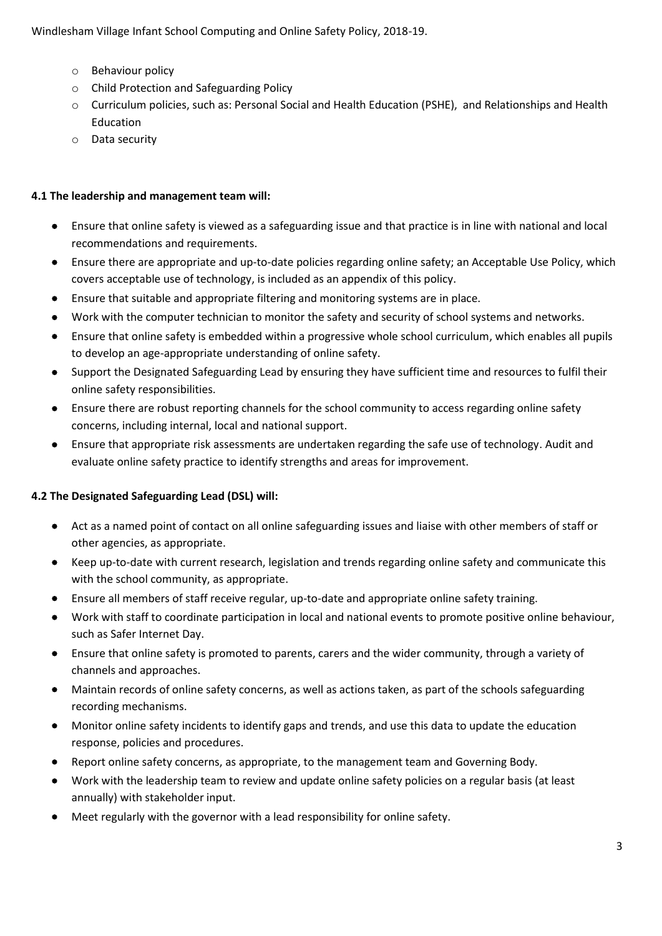- o Behaviour policy
- o Child Protection and Safeguarding Policy
- o Curriculum policies, such as: Personal Social and Health Education (PSHE), and Relationships and Health Education
- o Data security

#### **4.1 The leadership and management team will:**

- Ensure that online safety is viewed as a safeguarding issue and that practice is in line with national and local recommendations and requirements.
- Ensure there are appropriate and up-to-date policies regarding online safety; an Acceptable Use Policy, which covers acceptable use of technology, is included as an appendix of this policy.
- Ensure that suitable and appropriate filtering and monitoring systems are in place.
- Work with the computer technician to monitor the safety and security of school systems and networks.
- Ensure that online safety is embedded within a progressive whole school curriculum, which enables all pupils to develop an age-appropriate understanding of online safety.
- Support the Designated Safeguarding Lead by ensuring they have sufficient time and resources to fulfil their online safety responsibilities.
- Ensure there are robust reporting channels for the school community to access regarding online safety concerns, including internal, local and national support.
- Ensure that appropriate risk assessments are undertaken regarding the safe use of technology. Audit and evaluate online safety practice to identify strengths and areas for improvement.

# **4.2 The Designated Safeguarding Lead (DSL) will:**

- Act as a named point of contact on all online safeguarding issues and liaise with other members of staff or other agencies, as appropriate.
- Keep up-to-date with current research, legislation and trends regarding online safety and communicate this with the school community, as appropriate.
- Ensure all members of staff receive regular, up-to-date and appropriate online safety training.
- Work with staff to coordinate participation in local and national events to promote positive online behaviour, such as Safer Internet Day.
- Ensure that online safety is promoted to parents, carers and the wider community, through a variety of channels and approaches.
- Maintain records of online safety concerns, as well as actions taken, as part of the schools safeguarding recording mechanisms.
- Monitor online safety incidents to identify gaps and trends, and use this data to update the education response, policies and procedures.
- Report online safety concerns, as appropriate, to the management team and Governing Body.
- Work with the leadership team to review and update online safety policies on a regular basis (at least annually) with stakeholder input.
- Meet regularly with the governor with a lead responsibility for online safety.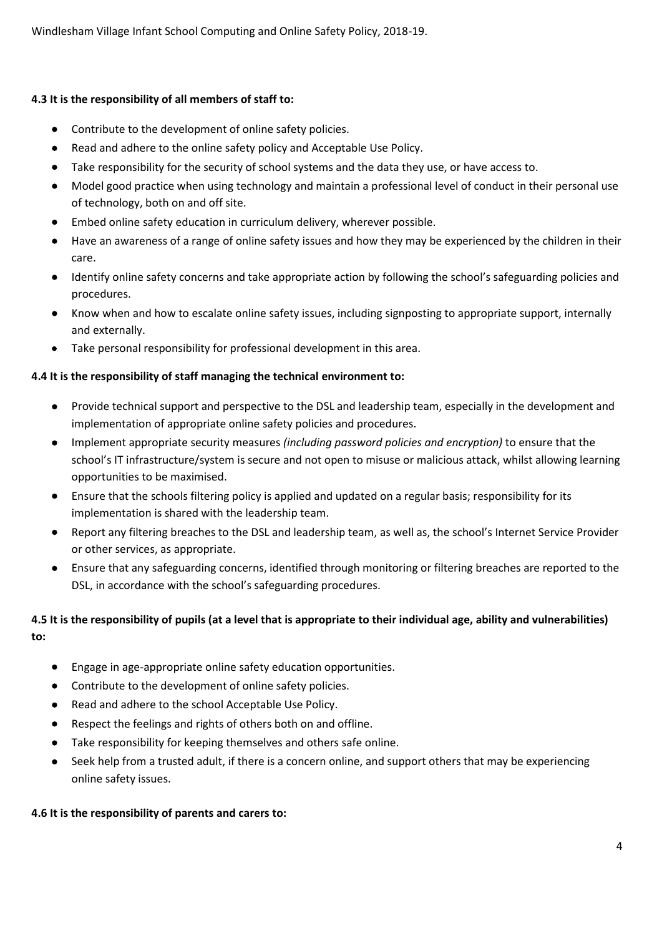# **4.3 It is the responsibility of all members of staff to:**

- Contribute to the development of online safety policies.
- Read and adhere to the online safety policy and Acceptable Use Policy.
- Take responsibility for the security of school systems and the data they use, or have access to.
- Model good practice when using technology and maintain a professional level of conduct in their personal use of technology, both on and off site.
- Embed online safety education in curriculum delivery, wherever possible.
- Have an awareness of a range of online safety issues and how they may be experienced by the children in their care.
- Identify online safety concerns and take appropriate action by following the school's safeguarding policies and procedures.
- Know when and how to escalate online safety issues, including signposting to appropriate support, internally and externally.
- Take personal responsibility for professional development in this area.

# **4.4 It is the responsibility of staff managing the technical environment to:**

- Provide technical support and perspective to the DSL and leadership team, especially in the development and implementation of appropriate online safety policies and procedures.
- Implement appropriate security measures *(including password policies and encryption)* to ensure that the school's IT infrastructure/system is secure and not open to misuse or malicious attack, whilst allowing learning opportunities to be maximised.
- Ensure that the schools filtering policy is applied and updated on a regular basis; responsibility for its implementation is shared with the leadership team.
- Report any filtering breaches to the DSL and leadership team, as well as, the school's Internet Service Provider or other services, as appropriate.
- Ensure that any safeguarding concerns, identified through monitoring or filtering breaches are reported to the DSL, in accordance with the school's safeguarding procedures.

# **4.5 It is the responsibility of pupils (at a level that is appropriate to their individual age, ability and vulnerabilities) to:**

- Engage in age-appropriate online safety education opportunities.
- Contribute to the development of online safety policies.
- Read and adhere to the school Acceptable Use Policy.
- Respect the feelings and rights of others both on and offline.
- Take responsibility for keeping themselves and others safe online.
- Seek help from a trusted adult, if there is a concern online, and support others that may be experiencing online safety issues.

# **4.6 It is the responsibility of parents and carers to:**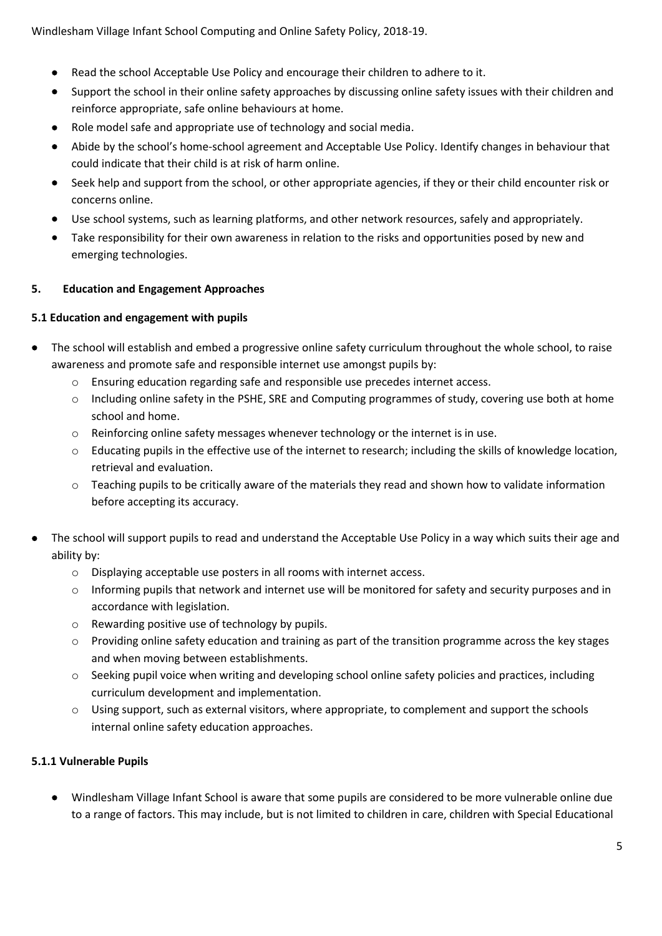- Read the school Acceptable Use Policy and encourage their children to adhere to it.
- Support the school in their online safety approaches by discussing online safety issues with their children and reinforce appropriate, safe online behaviours at home.
- Role model safe and appropriate use of technology and social media.
- Abide by the school's home-school agreement and Acceptable Use Policy. Identify changes in behaviour that could indicate that their child is at risk of harm online.
- Seek help and support from the school, or other appropriate agencies, if they or their child encounter risk or concerns online.
- Use school systems, such as learning platforms, and other network resources, safely and appropriately.
- Take responsibility for their own awareness in relation to the risks and opportunities posed by new and emerging technologies.

#### **5. Education and Engagement Approaches**

#### **5.1 Education and engagement with pupils**

- The school will establish and embed a progressive online safety curriculum throughout the whole school, to raise awareness and promote safe and responsible internet use amongst pupils by:
	- o Ensuring education regarding safe and responsible use precedes internet access.
	- $\circ$  Including online safety in the PSHE, SRE and Computing programmes of study, covering use both at home school and home.
	- $\circ$  Reinforcing online safety messages whenever technology or the internet is in use.
	- o Educating pupils in the effective use of the internet to research; including the skills of knowledge location, retrieval and evaluation.
	- o Teaching pupils to be critically aware of the materials they read and shown how to validate information before accepting its accuracy.
- The school will support pupils to read and understand the Acceptable Use Policy in a way which suits their age and ability by:
	- o Displaying acceptable use posters in all rooms with internet access.
	- o Informing pupils that network and internet use will be monitored for safety and security purposes and in accordance with legislation.
	- o Rewarding positive use of technology by pupils.
	- o Providing online safety education and training as part of the transition programme across the key stages and when moving between establishments.
	- o Seeking pupil voice when writing and developing school online safety policies and practices, including curriculum development and implementation.
	- o Using support, such as external visitors, where appropriate, to complement and support the schools internal online safety education approaches.

# **5.1.1 Vulnerable Pupils**

• Windlesham Village Infant School is aware that some pupils are considered to be more vulnerable online due to a range of factors. This may include, but is not limited to children in care, children with Special Educational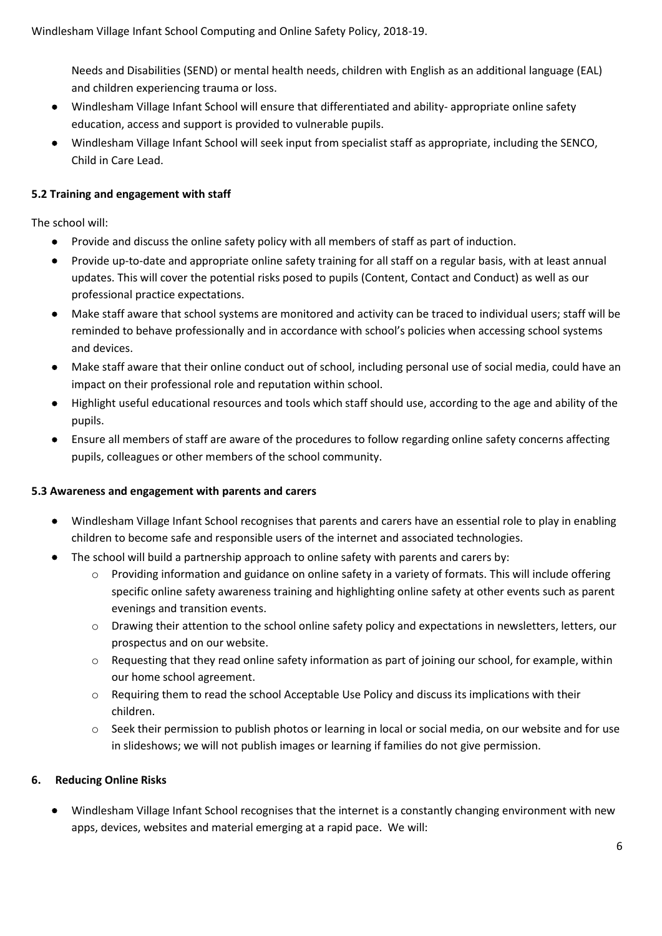Needs and Disabilities (SEND) or mental health needs, children with English as an additional language (EAL) and children experiencing trauma or loss.

- Windlesham Village Infant School will ensure that differentiated and ability- appropriate online safety education, access and support is provided to vulnerable pupils.
- Windlesham Village Infant School will seek input from specialist staff as appropriate, including the SENCO, Child in Care Lead.

## **5.2 Training and engagement with staff**

The school will:

- Provide and discuss the online safety policy with all members of staff as part of induction.
- Provide up-to-date and appropriate online safety training for all staff on a regular basis, with at least annual updates. This will cover the potential risks posed to pupils (Content, Contact and Conduct) as well as our professional practice expectations.
- Make staff aware that school systems are monitored and activity can be traced to individual users; staff will be reminded to behave professionally and in accordance with school's policies when accessing school systems and devices.
- Make staff aware that their online conduct out of school, including personal use of social media, could have an impact on their professional role and reputation within school.
- Highlight useful educational resources and tools which staff should use, according to the age and ability of the pupils.
- Ensure all members of staff are aware of the procedures to follow regarding online safety concerns affecting pupils, colleagues or other members of the school community.

#### **5.3 Awareness and engagement with parents and carers**

- Windlesham Village Infant School recognises that parents and carers have an essential role to play in enabling children to become safe and responsible users of the internet and associated technologies.
- The school will build a partnership approach to online safety with parents and carers by:
	- o Providing information and guidance on online safety in a variety of formats. This will include offering specific online safety awareness training and highlighting online safety at other events such as parent evenings and transition events.
	- o Drawing their attention to the school online safety policy and expectations in newsletters, letters, our prospectus and on our website.
	- o Requesting that they read online safety information as part of joining our school, for example, within our home school agreement.
	- o Requiring them to read the school Acceptable Use Policy and discuss its implications with their children.
	- o Seek their permission to publish photos or learning in local or social media, on our website and for use in slideshows; we will not publish images or learning if families do not give permission.

# **6. Reducing Online Risks**

• Windlesham Village Infant School recognises that the internet is a constantly changing environment with new apps, devices, websites and material emerging at a rapid pace. We will: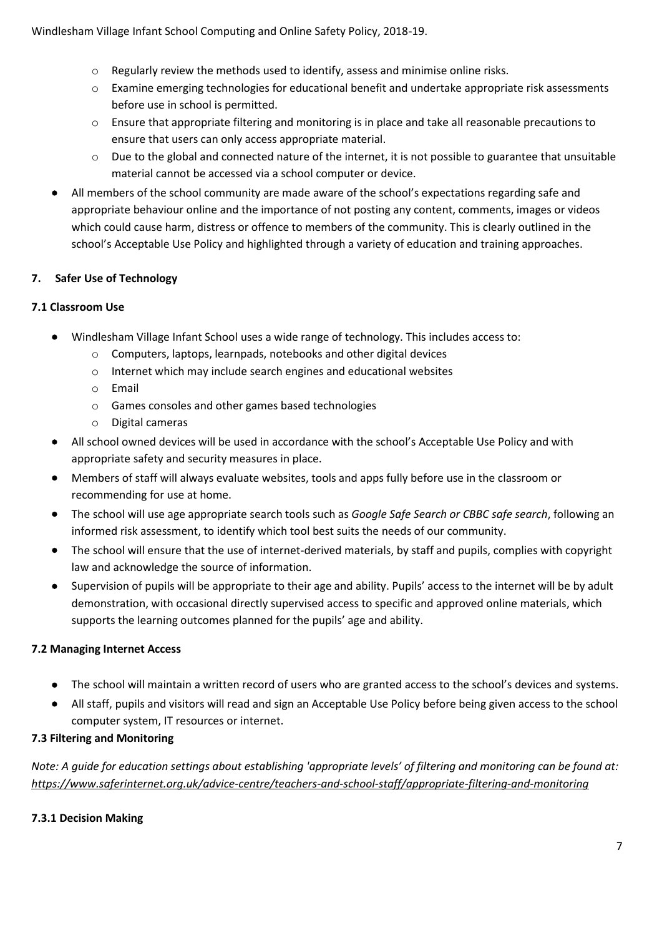- $\circ$  Regularly review the methods used to identify, assess and minimise online risks.
- $\circ$  Examine emerging technologies for educational benefit and undertake appropriate risk assessments before use in school is permitted.
- o Ensure that appropriate filtering and monitoring is in place and take all reasonable precautions to ensure that users can only access appropriate material.
- o Due to the global and connected nature of the internet, it is not possible to guarantee that unsuitable material cannot be accessed via a school computer or device.
- All members of the school community are made aware of the school's expectations regarding safe and appropriate behaviour online and the importance of not posting any content, comments, images or videos which could cause harm, distress or offence to members of the community. This is clearly outlined in the school's Acceptable Use Policy and highlighted through a variety of education and training approaches.

# **7. Safer Use of Technology**

# **7.1 Classroom Use**

- Windlesham Village Infant School uses a wide range of technology. This includes access to:
	- o Computers, laptops, learnpads, notebooks and other digital devices
	- o Internet which may include search engines and educational websites
	- o Email
	- o Games consoles and other games based technologies
	- o Digital cameras
- All school owned devices will be used in accordance with the school's Acceptable Use Policy and with appropriate safety and security measures in place.
- Members of staff will always evaluate websites, tools and apps fully before use in the classroom or recommending for use at home.
- The school will use age appropriate search tools such as *Google Safe Search or CBBC safe search*, following an informed risk assessment, to identify which tool best suits the needs of our community.
- The school will ensure that the use of internet-derived materials, by staff and pupils, complies with copyright law and acknowledge the source of information.
- Supervision of pupils will be appropriate to their age and ability. Pupils' access to the internet will be by adult demonstration, with occasional directly supervised access to specific and approved online materials, which supports the learning outcomes planned for the pupils' age and ability.

# **7.2 Managing Internet Access**

- The school will maintain a written record of users who are granted access to the school's devices and systems.
- All staff, pupils and visitors will read and sign an Acceptable Use Policy before being given access to the school computer system, IT resources or internet.

# **7.3 Filtering and Monitoring**

*Note: A guide for education settings about establishing 'appropriate levels' of filtering and monitoring can be found at: <https://www.saferinternet.org.uk/advice-centre/teachers-and-school-staff/appropriate-filtering-and-monitoring>*

# **7.3.1 Decision Making**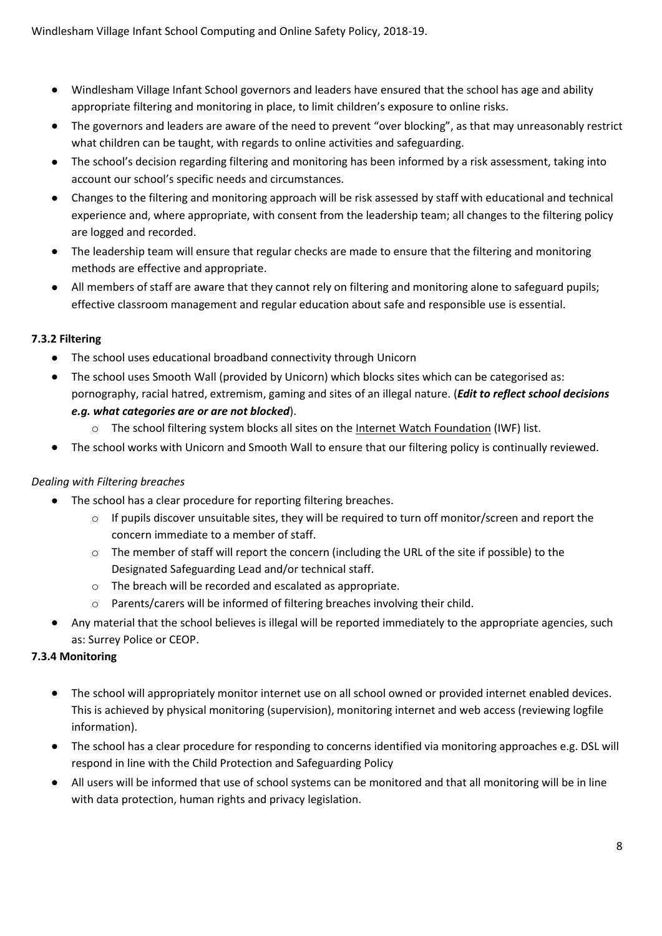- Windlesham Village Infant School governors and leaders have ensured that the school has age and ability appropriate filtering and monitoring in place, to limit children's exposure to online risks.
- The governors and leaders are aware of the need to prevent "over blocking", as that may unreasonably restrict what children can be taught, with regards to online activities and safeguarding.
- The school's decision regarding filtering and monitoring has been informed by a risk assessment, taking into account our school's specific needs and circumstances.
- Changes to the filtering and monitoring approach will be risk assessed by staff with educational and technical experience and, where appropriate, with consent from the leadership team; all changes to the filtering policy are logged and recorded.
- The leadership team will ensure that regular checks are made to ensure that the filtering and monitoring methods are effective and appropriate.
- All members of staff are aware that they cannot rely on filtering and monitoring alone to safeguard pupils; effective classroom management and regular education about safe and responsible use is essential.

# **7.3.2 Filtering**

- The school uses educational broadband connectivity through Unicorn
- The school uses Smooth Wall (provided by Unicorn) which blocks sites which can be categorised as: pornography, racial hatred, extremism, gaming and sites of an illegal nature. (*Edit to reflect school decisions e.g. what categories are or are not blocked*).
	- o The school filtering system blocks all sites on the [Internet Watch Foundation](https://www.iwf.org.uk/) (IWF) list.
- The school works with Unicorn and Smooth Wall to ensure that our filtering policy is continually reviewed.

# *Dealing with Filtering breaches*

- The school has a clear procedure for reporting filtering breaches.
	- $\circ$  If pupils discover unsuitable sites, they will be required to turn off monitor/screen and report the concern immediate to a member of staff.
	- o The member of staff will report the concern (including the URL of the site if possible) to the Designated Safeguarding Lead and/or technical staff.
	- o The breach will be recorded and escalated as appropriate.
	- o Parents/carers will be informed of filtering breaches involving their child.
- Any material that the school believes is illegal will be reported immediately to the appropriate agencies, such as: Surrey Police or CEOP.

# **7.3.4 Monitoring**

- The school will appropriately monitor internet use on all school owned or provided internet enabled devices. This is achieved by physical monitoring (supervision), monitoring internet and web access (reviewing logfile information).
- The school has a clear procedure for responding to concerns identified via monitoring approaches e.g. DSL will respond in line with the Child Protection and Safeguarding Policy
- All users will be informed that use of school systems can be monitored and that all monitoring will be in line with data protection, human rights and privacy legislation.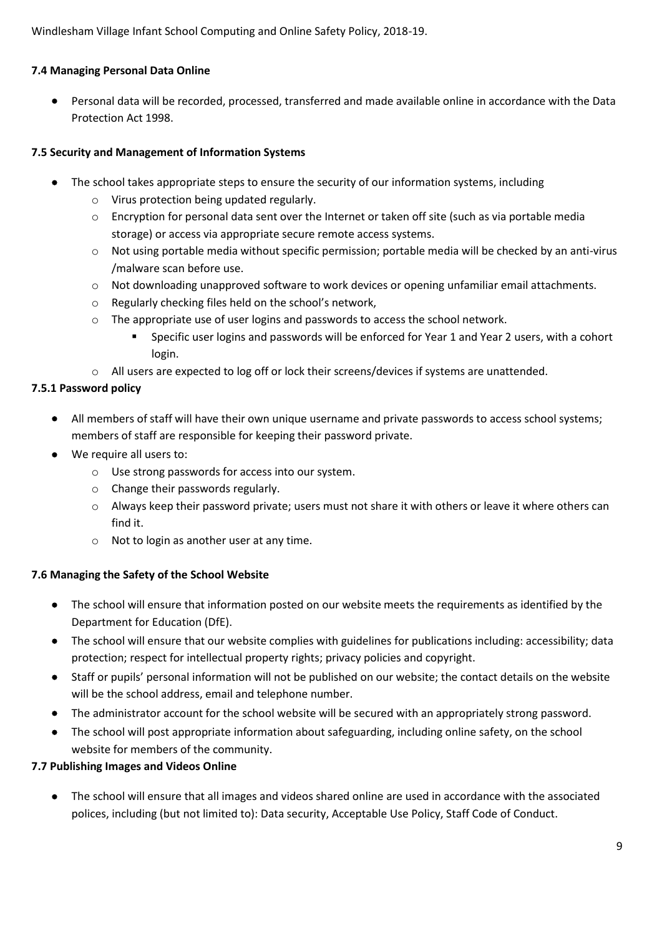# **7.4 Managing Personal Data Online**

• Personal data will be recorded, processed, transferred and made available online in accordance with the Data Protection Act 1998.

#### **7.5 Security and Management of Information Systems**

- The school takes appropriate steps to ensure the security of our information systems, including
	- o Virus protection being updated regularly.
	- $\circ$  Encryption for personal data sent over the Internet or taken off site (such as via portable media storage) or access via appropriate secure remote access systems.
	- $\circ$  Not using portable media without specific permission; portable media will be checked by an anti-virus /malware scan before use.
	- o Not downloading unapproved software to work devices or opening unfamiliar email attachments.
	- o Regularly checking files held on the school's network,
	- o The appropriate use of user logins and passwords to access the school network.
		- Specific user logins and passwords will be enforced for Year 1 and Year 2 users, with a cohort login.
	- o All users are expected to log off or lock their screens/devices if systems are unattended.

#### **7.5.1 Password policy**

- All members of staff will have their own unique username and private passwords to access school systems; members of staff are responsible for keeping their password private.
- We require all users to:
	- o Use strong passwords for access into our system.
	- o Change their passwords regularly.
	- $\circ$  Always keep their password private; users must not share it with others or leave it where others can find it.
	- o Not to login as another user at any time.

#### **7.6 Managing the Safety of the School Website**

- The school will ensure that information posted on our website meets the requirements as identified by the Department for Education (DfE).
- The school will ensure that our website complies with guidelines for publications including: accessibility; data protection; respect for intellectual property rights; privacy policies and copyright.
- Staff or pupils' personal information will not be published on our website; the contact details on the website will be the school address, email and telephone number.
- The administrator account for the school website will be secured with an appropriately strong password.
- The school will post appropriate information about safeguarding, including online safety, on the school website for members of the community.

#### **7.7 Publishing Images and Videos Online**

• The school will ensure that all images and videos shared online are used in accordance with the associated polices, including (but not limited to): Data security, Acceptable Use Policy, Staff Code of Conduct.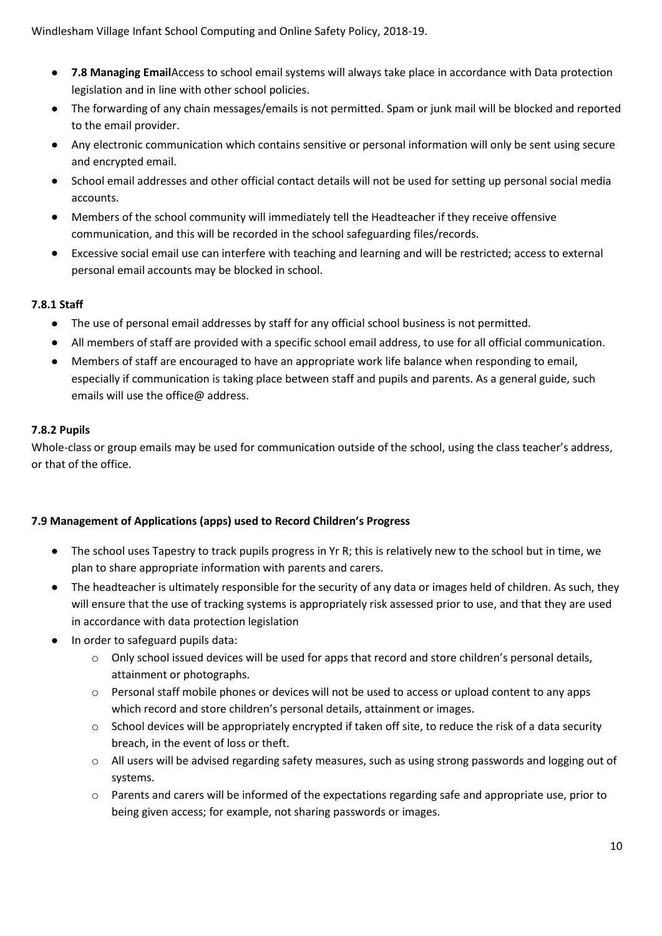- **7.8 Managing Email**Access to school email systems will always take place in accordance with Data protection legislation and in line with other school policies.
- The forwarding of any chain messages/emails is not permitted. Spam or junk mail will be blocked and reported to the email provider.
- Any electronic communication which contains sensitive or personal information will only be sent using secure and encrypted email.
- School email addresses and other official contact details will not be used for setting up personal social media accounts.
- Members of the school community will immediately tell the Headteacher if they receive offensive communication, and this will be recorded in the school safeguarding files/records.
- Excessive social email use can interfere with teaching and learning and will be restricted; access to external personal email accounts may be blocked in school.

# **7.8.1 Staff**

- The use of personal email addresses by staff for any official school business is not permitted.
- All members of staff are provided with a specific school email address, to use for all official communication.
- Members of staff are encouraged to have an appropriate work life balance when responding to email, especially if communication is taking place between staff and pupils and parents. As a general guide, such emails will use the office@ address.

# **7.8.2 Pupils**

Whole-class or group emails may be used for communication outside of the school, using the class teacher's address, or that of the office.

# **7.9 Management of Applications (apps) used to Record Children's Progress**

- The school uses Tapestry to track pupils progress in Yr R; this is relatively new to the school but in time, we plan to share appropriate information with parents and carers.
- The headteacher is ultimately responsible for the security of any data or images held of children. As such, they will ensure that the use of tracking systems is appropriately risk assessed prior to use, and that they are used in accordance with data protection legislation
- In order to safeguard pupils data:
	- o Only school issued devices will be used for apps that record and store children's personal details, attainment or photographs.
	- $\circ$  Personal staff mobile phones or devices will not be used to access or upload content to any apps which record and store children's personal details, attainment or images.
	- o School devices will be appropriately encrypted if taken off site, to reduce the risk of a data security breach, in the event of loss or theft.
	- $\circ$  All users will be advised regarding safety measures, such as using strong passwords and logging out of systems.
	- o Parents and carers will be informed of the expectations regarding safe and appropriate use, prior to being given access; for example, not sharing passwords or images.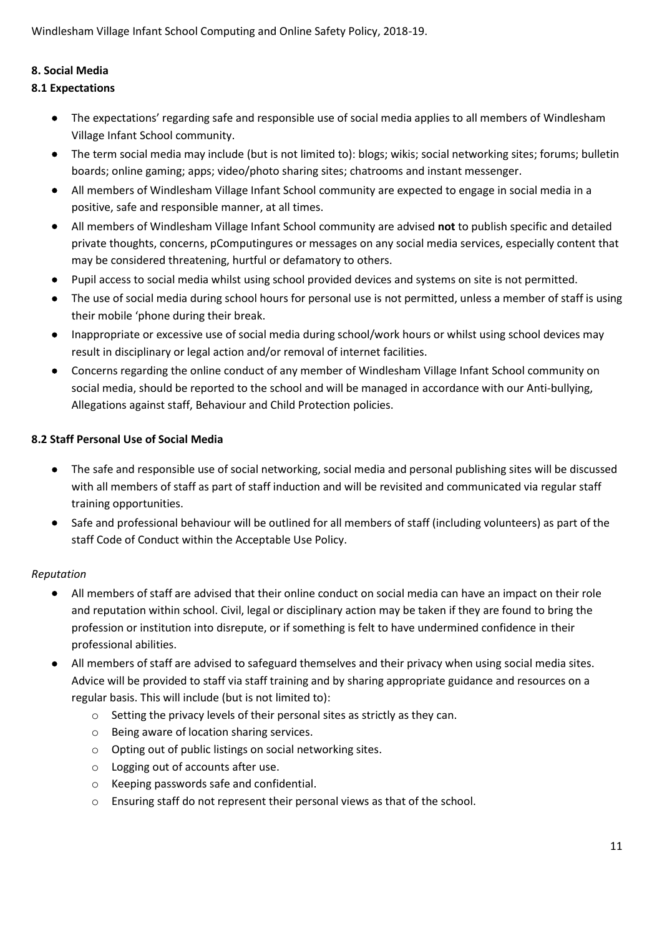#### **8. Social Media**

#### **8.1 Expectations**

- The expectations' regarding safe and responsible use of social media applies to all members of Windlesham Village Infant School community.
- The term social media may include (but is not limited to): blogs; wikis; social networking sites; forums; bulletin boards; online gaming; apps; video/photo sharing sites; chatrooms and instant messenger.
- All members of Windlesham Village Infant School community are expected to engage in social media in a positive, safe and responsible manner, at all times.
- All members of Windlesham Village Infant School community are advised **not** to publish specific and detailed private thoughts, concerns, pComputingures or messages on any social media services, especially content that may be considered threatening, hurtful or defamatory to others.
- Pupil access to social media whilst using school provided devices and systems on site is not permitted.
- The use of social media during school hours for personal use is not permitted, unless a member of staff is using their mobile 'phone during their break.
- Inappropriate or excessive use of social media during school/work hours or whilst using school devices may result in disciplinary or legal action and/or removal of internet facilities.
- Concerns regarding the online conduct of any member of Windlesham Village Infant School community on social media, should be reported to the school and will be managed in accordance with our Anti-bullying, Allegations against staff, Behaviour and Child Protection policies.

#### **8.2 Staff Personal Use of Social Media**

- The safe and responsible use of social networking, social media and personal publishing sites will be discussed with all members of staff as part of staff induction and will be revisited and communicated via regular staff training opportunities.
- Safe and professional behaviour will be outlined for all members of staff (including volunteers) as part of the staff Code of Conduct within the Acceptable Use Policy.

# *Reputation*

- All members of staff are advised that their online conduct on social media can have an impact on their role and reputation within school. Civil, legal or disciplinary action may be taken if they are found to bring the profession or institution into disrepute, or if something is felt to have undermined confidence in their professional abilities.
- All members of staff are advised to safeguard themselves and their privacy when using social media sites. Advice will be provided to staff via staff training and by sharing appropriate guidance and resources on a regular basis. This will include (but is not limited to):
	- o Setting the privacy levels of their personal sites as strictly as they can.
	- o Being aware of location sharing services.
	- o Opting out of public listings on social networking sites.
	- o Logging out of accounts after use.
	- o Keeping passwords safe and confidential.
	- o Ensuring staff do not represent their personal views as that of the school.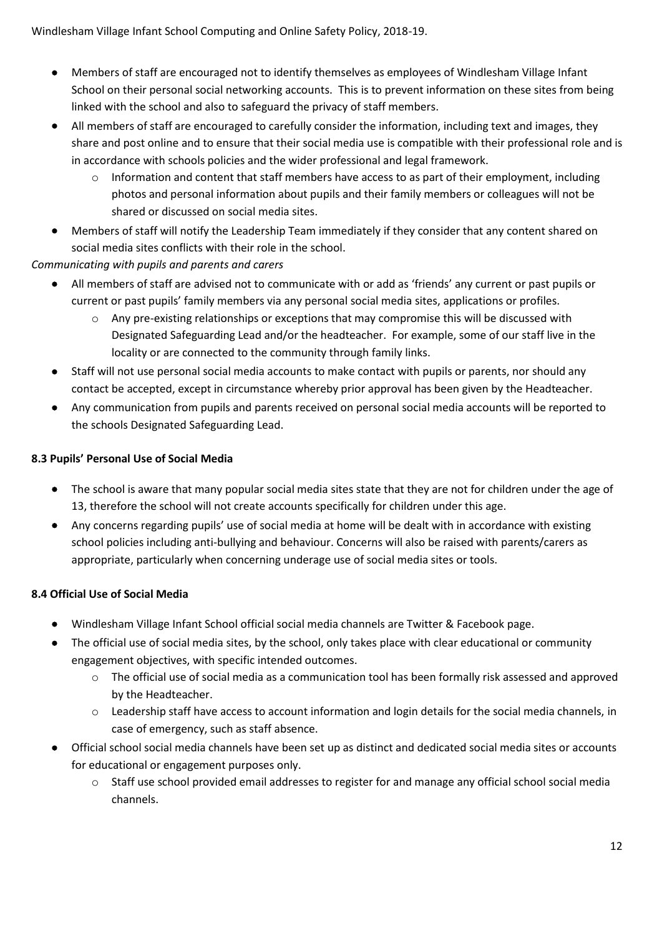- Members of staff are encouraged not to identify themselves as employees of Windlesham Village Infant School on their personal social networking accounts. This is to prevent information on these sites from being linked with the school and also to safeguard the privacy of staff members.
- All members of staff are encouraged to carefully consider the information, including text and images, they share and post online and to ensure that their social media use is compatible with their professional role and is in accordance with schools policies and the wider professional and legal framework.
	- $\circ$  Information and content that staff members have access to as part of their employment, including photos and personal information about pupils and their family members or colleagues will not be shared or discussed on social media sites.
- Members of staff will notify the Leadership Team immediately if they consider that any content shared on social media sites conflicts with their role in the school.

# *Communicating with pupils and parents and carers*

- All members of staff are advised not to communicate with or add as 'friends' any current or past pupils or current or past pupils' family members via any personal social media sites, applications or profiles.
	- o Any pre-existing relationships or exceptions that may compromise this will be discussed with Designated Safeguarding Lead and/or the headteacher. For example, some of our staff live in the locality or are connected to the community through family links.
- Staff will not use personal social media accounts to make contact with pupils or parents, nor should any contact be accepted, except in circumstance whereby prior approval has been given by the Headteacher.
- Any communication from pupils and parents received on personal social media accounts will be reported to the schools Designated Safeguarding Lead.

#### **8.3 Pupils' Personal Use of Social Media**

- The school is aware that many popular social media sites state that they are not for children under the age of 13, therefore the school will not create accounts specifically for children under this age.
- Any concerns regarding pupils' use of social media at home will be dealt with in accordance with existing school policies including anti-bullying and behaviour. Concerns will also be raised with parents/carers as appropriate, particularly when concerning underage use of social media sites or tools.

# **8.4 Official Use of Social Media**

- Windlesham Village Infant School official social media channels are Twitter & Facebook page.
- The official use of social media sites, by the school, only takes place with clear educational or community engagement objectives, with specific intended outcomes.
	- $\circ$  The official use of social media as a communication tool has been formally risk assessed and approved by the Headteacher.
	- o Leadership staff have access to account information and login details for the social media channels, in case of emergency, such as staff absence.
- Official school social media channels have been set up as distinct and dedicated social media sites or accounts for educational or engagement purposes only.
	- o Staff use school provided email addresses to register for and manage any official school social media channels.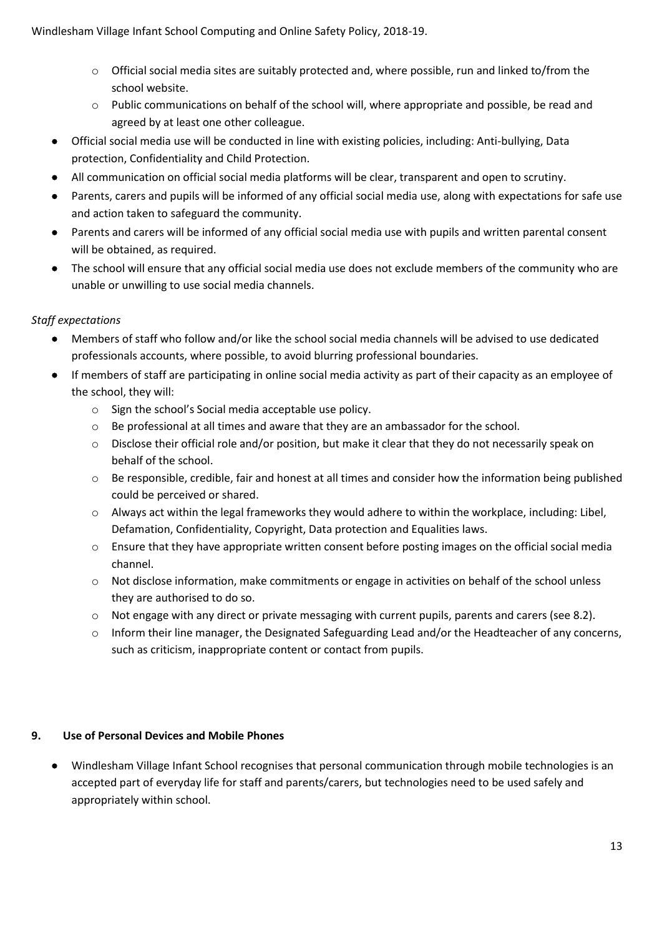- $\circ$  Official social media sites are suitably protected and, where possible, run and linked to/from the school website.
- $\circ$  Public communications on behalf of the school will, where appropriate and possible, be read and agreed by at least one other colleague.
- Official social media use will be conducted in line with existing policies, including: Anti-bullying, Data protection, Confidentiality and Child Protection.
- All communication on official social media platforms will be clear, transparent and open to scrutiny.
- Parents, carers and pupils will be informed of any official social media use, along with expectations for safe use and action taken to safeguard the community.
- Parents and carers will be informed of any official social media use with pupils and written parental consent will be obtained, as required.
- The school will ensure that any official social media use does not exclude members of the community who are unable or unwilling to use social media channels.

# *Staff expectations*

- Members of staff who follow and/or like the school social media channels will be advised to use dedicated professionals accounts, where possible, to avoid blurring professional boundaries.
- If members of staff are participating in online social media activity as part of their capacity as an employee of the school, they will:
	- o Sign the school's Social media acceptable use policy.
	- o Be professional at all times and aware that they are an ambassador for the school.
	- o Disclose their official role and/or position, but make it clear that they do not necessarily speak on behalf of the school.
	- o Be responsible, credible, fair and honest at all times and consider how the information being published could be perceived or shared.
	- o Always act within the legal frameworks they would adhere to within the workplace, including: Libel, Defamation, Confidentiality, Copyright, Data protection and Equalities laws.
	- o Ensure that they have appropriate written consent before posting images on the official social media channel.
	- o Not disclose information, make commitments or engage in activities on behalf of the school unless they are authorised to do so.
	- o Not engage with any direct or private messaging with current pupils, parents and carers (see 8.2).
	- o Inform their line manager, the Designated Safeguarding Lead and/or the Headteacher of any concerns, such as criticism, inappropriate content or contact from pupils.

# **9. Use of Personal Devices and Mobile Phones**

• Windlesham Village Infant School recognises that personal communication through mobile technologies is an accepted part of everyday life for staff and parents/carers, but technologies need to be used safely and appropriately within school.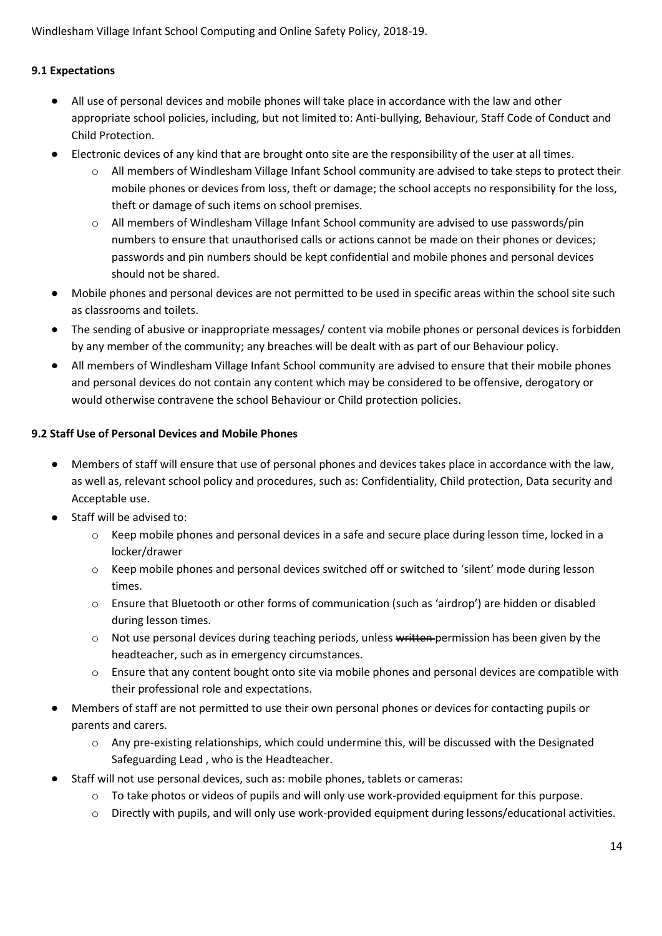#### **9.1 Expectations**

- All use of personal devices and mobile phones will take place in accordance with the law and other appropriate school policies, including, but not limited to: Anti-bullying, Behaviour, Staff Code of Conduct and Child Protection.
- Electronic devices of any kind that are brought onto site are the responsibility of the user at all times.
	- o All members of Windlesham Village Infant School community are advised to take steps to protect their mobile phones or devices from loss, theft or damage; the school accepts no responsibility for the loss, theft or damage of such items on school premises.
	- o All members of Windlesham Village Infant School community are advised to use passwords/pin numbers to ensure that unauthorised calls or actions cannot be made on their phones or devices; passwords and pin numbers should be kept confidential and mobile phones and personal devices should not be shared.
- Mobile phones and personal devices are not permitted to be used in specific areas within the school site such as classrooms and toilets.
- The sending of abusive or inappropriate messages/ content via mobile phones or personal devices is forbidden by any member of the community; any breaches will be dealt with as part of our Behaviour policy.
- All members of Windlesham Village Infant School community are advised to ensure that their mobile phones and personal devices do not contain any content which may be considered to be offensive, derogatory or would otherwise contravene the school Behaviour or Child protection policies.

#### **9.2 Staff Use of Personal Devices and Mobile Phones**

- Members of staff will ensure that use of personal phones and devices takes place in accordance with the law, as well as, relevant school policy and procedures, such as: Confidentiality, Child protection, Data security and Acceptable use.
- Staff will be advised to:
	- o Keep mobile phones and personal devices in a safe and secure place during lesson time, locked in a locker/drawer
	- o Keep mobile phones and personal devices switched off or switched to 'silent' mode during lesson times.
	- o Ensure that Bluetooth or other forms of communication (such as 'airdrop') are hidden or disabled during lesson times.
	- o Not use personal devices during teaching periods, unless written permission has been given by the headteacher, such as in emergency circumstances.
	- o Ensure that any content bought onto site via mobile phones and personal devices are compatible with their professional role and expectations.
- Members of staff are not permitted to use their own personal phones or devices for contacting pupils or parents and carers.
	- o Any pre-existing relationships, which could undermine this, will be discussed with the Designated Safeguarding Lead , who is the Headteacher.
- Staff will not use personal devices, such as: mobile phones, tablets or cameras:
	- o To take photos or videos of pupils and will only use work-provided equipment for this purpose.
	- o Directly with pupils, and will only use work-provided equipment during lessons/educational activities.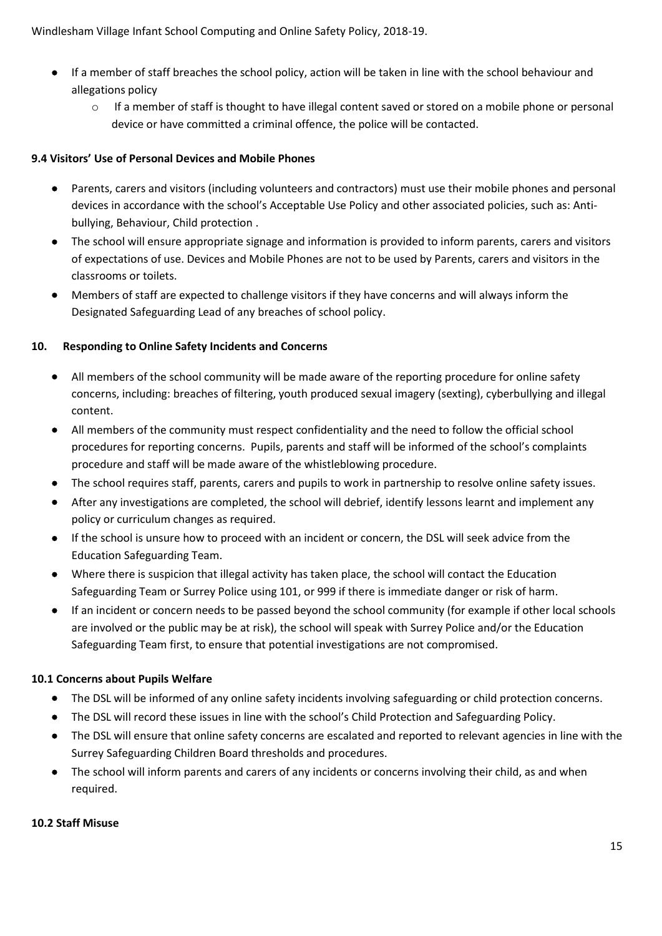- If a member of staff breaches the school policy, action will be taken in line with the school behaviour and allegations policy
	- o If a member of staff is thought to have illegal content saved or stored on a mobile phone or personal device or have committed a criminal offence, the police will be contacted.

#### **9.4 Visitors' Use of Personal Devices and Mobile Phones**

- Parents, carers and visitors (including volunteers and contractors) must use their mobile phones and personal devices in accordance with the school's Acceptable Use Policy and other associated policies, such as: Antibullying, Behaviour, Child protection .
- The school will ensure appropriate signage and information is provided to inform parents, carers and visitors of expectations of use. Devices and Mobile Phones are not to be used by Parents, carers and visitors in the classrooms or toilets.
- Members of staff are expected to challenge visitors if they have concerns and will always inform the Designated Safeguarding Lead of any breaches of school policy.

#### **10. Responding to Online Safety Incidents and Concerns**

- All members of the school community will be made aware of the reporting procedure for online safety concerns, including: breaches of filtering, youth produced sexual imagery (sexting), cyberbullying and illegal content.
- All members of the community must respect confidentiality and the need to follow the official school procedures for reporting concerns. Pupils, parents and staff will be informed of the school's complaints procedure and staff will be made aware of the whistleblowing procedure.
- The school requires staff, parents, carers and pupils to work in partnership to resolve online safety issues.
- After any investigations are completed, the school will debrief, identify lessons learnt and implement any policy or curriculum changes as required.
- If the school is unsure how to proceed with an incident or concern, the DSL will seek advice from the Education Safeguarding Team.
- Where there is suspicion that illegal activity has taken place, the school will contact the Education Safeguarding Team or Surrey Police using 101, or 999 if there is immediate danger or risk of harm.
- If an incident or concern needs to be passed beyond the school community (for example if other local schools are involved or the public may be at risk), the school will speak with Surrey Police and/or the Education Safeguarding Team first, to ensure that potential investigations are not compromised.

#### **10.1 Concerns about Pupils Welfare**

- The DSL will be informed of any online safety incidents involving safeguarding or child protection concerns.
- The DSL will record these issues in line with the school's Child Protection and Safeguarding Policy.
- The DSL will ensure that online safety concerns are escalated and reported to relevant agencies in line with the Surrey Safeguarding Children Board thresholds and procedures.
- The school will inform parents and carers of any incidents or concerns involving their child, as and when required.

#### **10.2 Staff Misuse**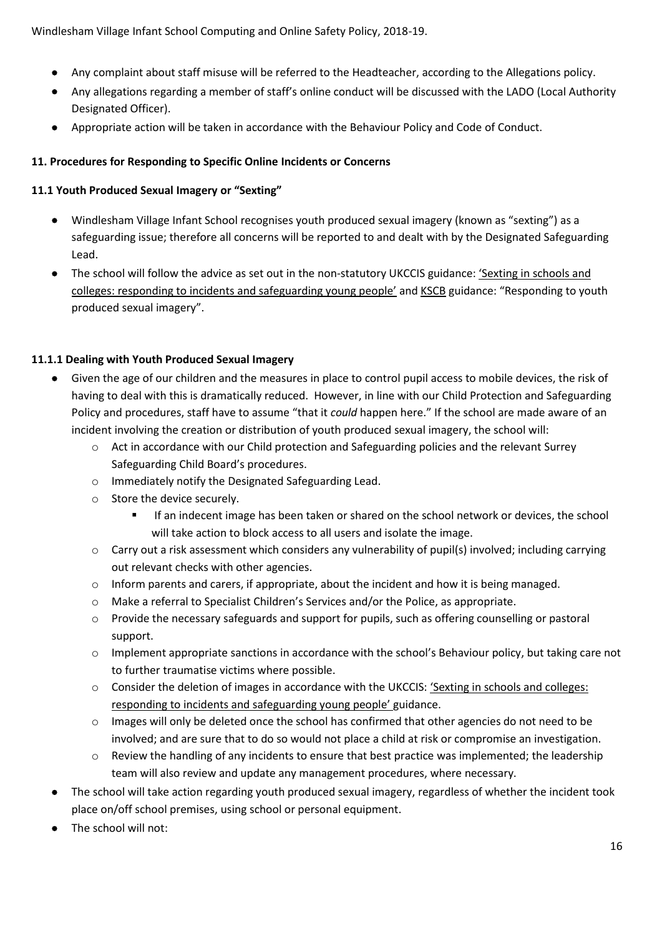- Any complaint about staff misuse will be referred to the Headteacher, according to the Allegations policy.
- Any allegations regarding a member of staff's online conduct will be discussed with the LADO (Local Authority Designated Officer).
- Appropriate action will be taken in accordance with the Behaviour Policy and Code of Conduct.

# **11. Procedures for Responding to Specific Online Incidents or Concerns**

# **11.1 Youth Produced Sexual Imagery or "Sexting"**

- Windlesham Village Infant School recognises youth produced sexual imagery (known as "sexting") as a safeguarding issue; therefore all concerns will be reported to and dealt with by the Designated Safeguarding Lead.
- The school will follow the advice as set out in the non-statutory UKCCIS guidance: 'Sexting in schools and [colleges: responding to incidents and safeguarding young people'](https://www.gov.uk/government/groups/uk-council-for-child-internet-safety-ukccis) an[d KSCB](http://www.kscb.org.uk/guidance/online-safety) guidance: "Responding to youth produced sexual imagery".

# **11.1.1 Dealing with Youth Produced Sexual Imagery**

- Given the age of our children and the measures in place to control pupil access to mobile devices, the risk of having to deal with this is dramatically reduced. However, in line with our Child Protection and Safeguarding Policy and procedures, staff have to assume "that it *could* happen here." If the school are made aware of an incident involving the creation or distribution of youth produced sexual imagery, the school will:
	- o Act in accordance with our Child protection and Safeguarding policies and the relevant Surrey Safeguarding Child Board's procedures.
	- o Immediately notify the Designated Safeguarding Lead.
	- o Store the device securely.
		- If an indecent image has been taken or shared on the school network or devices, the school will take action to block access to all users and isolate the image.
	- o Carry out a risk assessment which considers any vulnerability of pupil(s) involved; including carrying out relevant checks with other agencies.
	- $\circ$  Inform parents and carers, if appropriate, about the incident and how it is being managed.
	- o Make a referral to Specialist Children's Services and/or the Police, as appropriate.
	- o Provide the necessary safeguards and support for pupils, such as offering counselling or pastoral support.
	- o Implement appropriate sanctions in accordance with the school's Behaviour policy, but taking care not to further traumatise victims where possible.
	- o Consider the deletion of images in accordance with the UKCCIS: '[Sexting in schools and colleges:](https://www.gov.uk/government/groups/uk-council-for-child-internet-safety-ukccis)  [responding to incidents and safeguarding young people'](https://www.gov.uk/government/groups/uk-council-for-child-internet-safety-ukccis) guidance.
	- o Images will only be deleted once the school has confirmed that other agencies do not need to be involved; and are sure that to do so would not place a child at risk or compromise an investigation.
	- $\circ$  Review the handling of any incidents to ensure that best practice was implemented; the leadership team will also review and update any management procedures, where necessary.
- The school will take action regarding youth produced sexual imagery, regardless of whether the incident took place on/off school premises, using school or personal equipment.
- The school will not: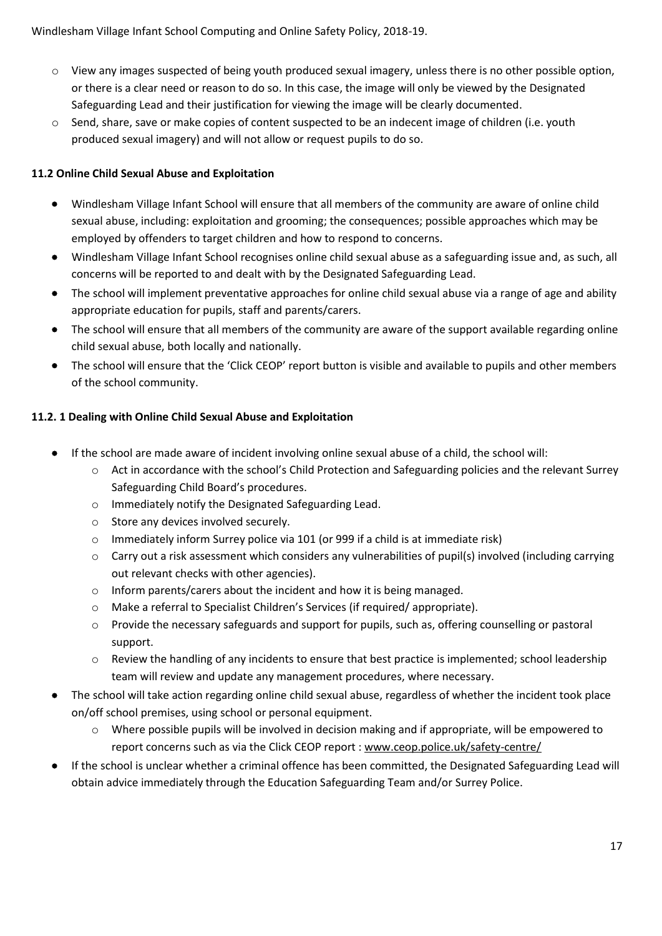- o View any images suspected of being youth produced sexual imagery, unless there is no other possible option, or there is a clear need or reason to do so. In this case, the image will only be viewed by the Designated Safeguarding Lead and their justification for viewing the image will be clearly documented.
- $\circ$  Send, share, save or make copies of content suspected to be an indecent image of children (i.e. youth produced sexual imagery) and will not allow or request pupils to do so.

## **11.2 Online Child Sexual Abuse and Exploitation**

- Windlesham Village Infant School will ensure that all members of the community are aware of online child sexual abuse, including: exploitation and grooming; the consequences; possible approaches which may be employed by offenders to target children and how to respond to concerns.
- Windlesham Village Infant School recognises online child sexual abuse as a safeguarding issue and, as such, all concerns will be reported to and dealt with by the Designated Safeguarding Lead.
- The school will implement preventative approaches for online child sexual abuse via a range of age and ability appropriate education for pupils, staff and parents/carers.
- The school will ensure that all members of the community are aware of the support available regarding online child sexual abuse, both locally and nationally.
- The school will ensure that the 'Click CEOP' report button is visible and available to pupils and other members of the school community.

#### **11.2. 1 Dealing with Online Child Sexual Abuse and Exploitation**

- If the school are made aware of incident involving online sexual abuse of a child, the school will:
	- o Act in accordance with the school's Child Protection and Safeguarding policies and the relevant Surrey Safeguarding Child Board's procedures.
	- o Immediately notify the Designated Safeguarding Lead.
	- o Store any devices involved securely.
	- o Immediately inform Surrey police via 101 (or 999 if a child is at immediate risk)
	- o Carry out a risk assessment which considers any vulnerabilities of pupil(s) involved (including carrying out relevant checks with other agencies).
	- $\circ$  Inform parents/carers about the incident and how it is being managed.
	- o Make a referral to Specialist Children's Services (if required/ appropriate).
	- o Provide the necessary safeguards and support for pupils, such as, offering counselling or pastoral support.
	- o Review the handling of any incidents to ensure that best practice is implemented; school leadership team will review and update any management procedures, where necessary.
- The school will take action regarding online child sexual abuse, regardless of whether the incident took place on/off school premises, using school or personal equipment.
	- o Where possible pupils will be involved in decision making and if appropriate, will be empowered to report concerns such as via the Click CEOP report : [www.ceop.police.uk/safety-centre/](http://www.ceop.police.uk/safety-centre/)
- If the school is unclear whether a criminal offence has been committed, the Designated Safeguarding Lead will obtain advice immediately through the Education Safeguarding Team and/or Surrey Police.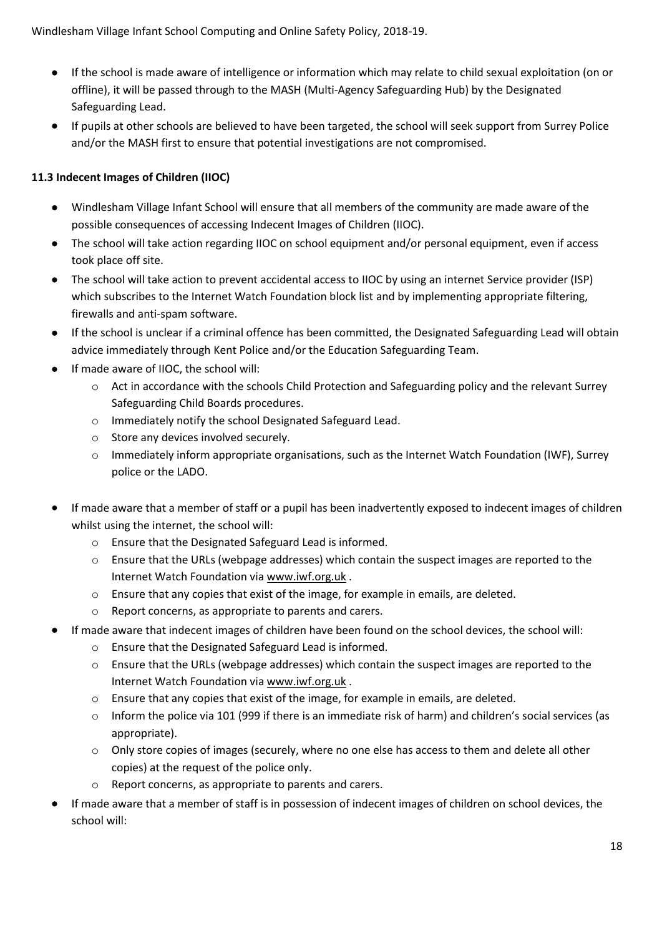- If the school is made aware of intelligence or information which may relate to child sexual exploitation (on or offline), it will be passed through to the MASH (Multi-Agency Safeguarding Hub) by the Designated Safeguarding Lead.
- If pupils at other schools are believed to have been targeted, the school will seek support from Surrey Police and/or the MASH first to ensure that potential investigations are not compromised.

# **11.3 Indecent Images of Children (IIOC)**

- Windlesham Village Infant School will ensure that all members of the community are made aware of the possible consequences of accessing Indecent Images of Children (IIOC).
- The school will take action regarding IIOC on school equipment and/or personal equipment, even if access took place off site.
- The school will take action to prevent accidental access to IIOC by using an internet Service provider (ISP) which subscribes to the Internet Watch Foundation block list and by implementing appropriate filtering, firewalls and anti-spam software.
- If the school is unclear if a criminal offence has been committed, the Designated Safeguarding Lead will obtain advice immediately through Kent Police and/or the Education Safeguarding Team.
- If made aware of IIOC, the school will:
	- $\circ$  Act in accordance with the schools Child Protection and Safeguarding policy and the relevant Surrey Safeguarding Child Boards procedures.
	- o Immediately notify the school Designated Safeguard Lead.
	- o Store any devices involved securely.
	- $\circ$  Immediately inform appropriate organisations, such as the Internet Watch Foundation (IWF), Surrey police or the LADO.
- If made aware that a member of staff or a pupil has been inadvertently exposed to indecent images of children whilst using the internet, the school will:
	- o Ensure that the Designated Safeguard Lead is informed.
	- o Ensure that the URLs (webpage addresses) which contain the suspect images are reported to the Internet Watch Foundation via [www.iwf.org.uk](https://www.iwf.org.uk/) .
	- o Ensure that any copies that exist of the image, for example in emails, are deleted.
	- o Report concerns, as appropriate to parents and carers.
- If made aware that indecent images of children have been found on the school devices, the school will:
	- o Ensure that the Designated Safeguard Lead is informed.
	- $\circ$  Ensure that the URLs (webpage addresses) which contain the suspect images are reported to the Internet Watch Foundation via [www.iwf.org.uk](https://www.iwf.org.uk/) .
	- o Ensure that any copies that exist of the image, for example in emails, are deleted.
	- o Inform the police via 101 (999 if there is an immediate risk of harm) and children's social services (as appropriate).
	- o Only store copies of images (securely, where no one else has access to them and delete all other copies) at the request of the police only.
	- Report concerns, as appropriate to parents and carers.
- If made aware that a member of staff is in possession of indecent images of children on school devices, the school will: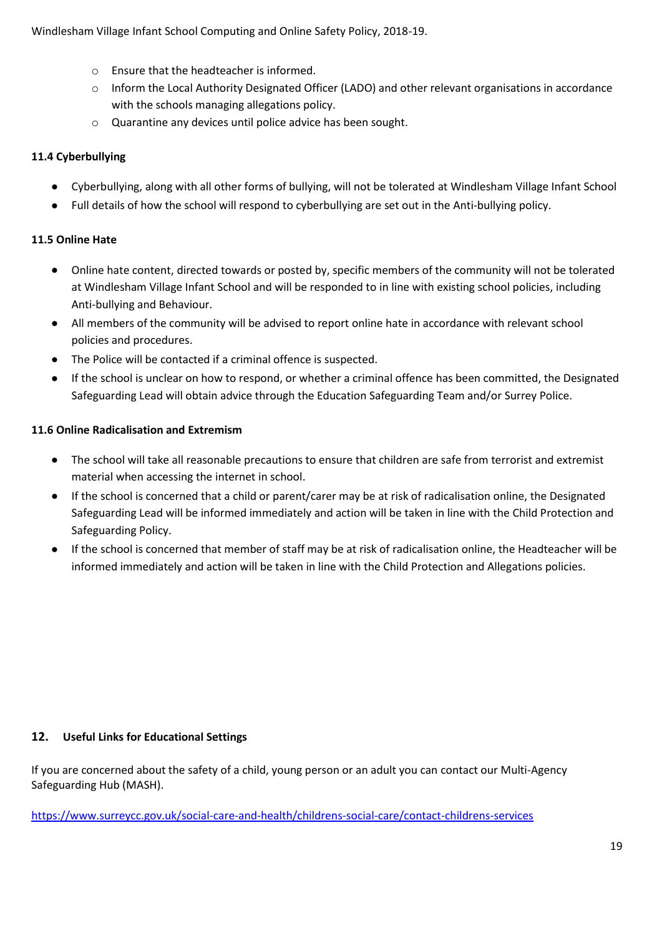- o Ensure that the headteacher is informed.
- o Inform the Local Authority Designated Officer (LADO) and other relevant organisations in accordance with the schools managing allegations policy.
- o Quarantine any devices until police advice has been sought.

# **11.4 Cyberbullying**

- Cyberbullying, along with all other forms of bullying, will not be tolerated at Windlesham Village Infant School
- Full details of how the school will respond to cyberbullying are set out in the Anti-bullying policy.

# **11.5 Online Hate**

- Online hate content, directed towards or posted by, specific members of the community will not be tolerated at Windlesham Village Infant School and will be responded to in line with existing school policies, including Anti-bullying and Behaviour.
- All members of the community will be advised to report online hate in accordance with relevant school policies and procedures.
- The Police will be contacted if a criminal offence is suspected.
- If the school is unclear on how to respond, or whether a criminal offence has been committed, the Designated Safeguarding Lead will obtain advice through the Education Safeguarding Team and/or Surrey Police.

# **11.6 Online Radicalisation and Extremism**

- The school will take all reasonable precautions to ensure that children are safe from terrorist and extremist material when accessing the internet in school.
- If the school is concerned that a child or parent/carer may be at risk of radicalisation online, the Designated Safeguarding Lead will be informed immediately and action will be taken in line with the Child Protection and Safeguarding Policy.
- If the school is concerned that member of staff may be at risk of radicalisation online, the Headteacher will be informed immediately and action will be taken in line with the Child Protection and Allegations policies.

# **12. Useful Links for Educational Settings**

If you are concerned about the safety of a child, young person or an adult you can contact our Multi-Agency Safeguarding Hub (MASH).

<https://www.surreycc.gov.uk/social-care-and-health/childrens-social-care/contact-childrens-services>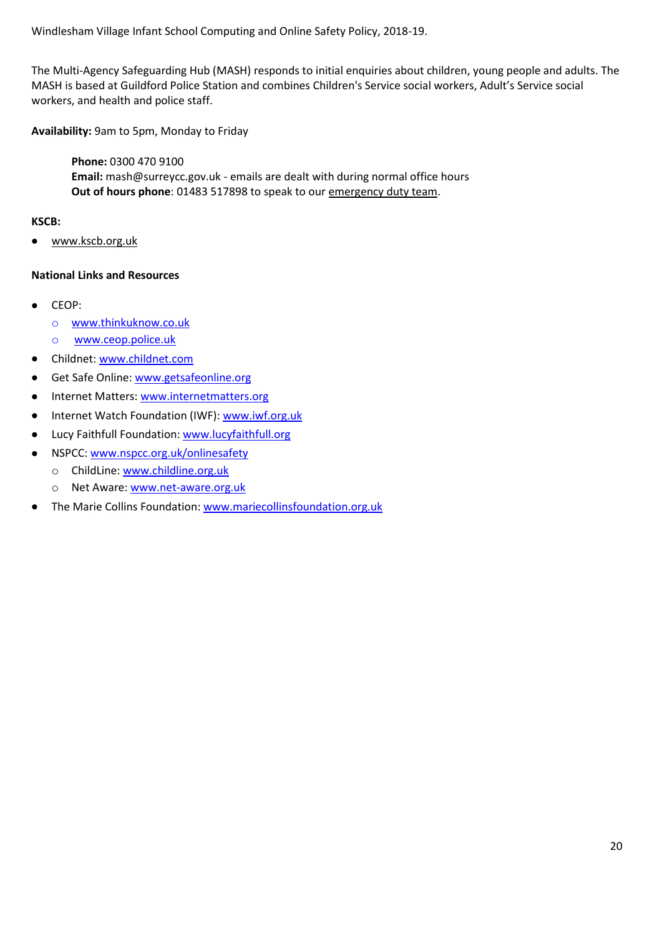The Multi-Agency Safeguarding Hub (MASH) responds to initial enquiries about children, young people and adults. The MASH is based at Guildford Police Station and combines Children's Service social workers, Adult's Service social workers, and health and police staff.

**Availability:** 9am to 5pm, Monday to Friday

**Phone:** 0300 470 9100 **Email:** mash@surreycc.gov.uk - emails are dealt with during normal office hours **Out of hours phone**: 01483 517898 to speak to our [emergency duty team.](https://www.surreycc.gov.uk/social-care-and-health/contacting-social-care/out-of-hours-social-care-contacts)

#### **KSCB:**

• [www.kscb.org.uk](http://www.kscb.org.uk/)

#### **National Links and Resources**

- CEOP:
	- o [www.thinkuknow.co.uk](http://www.thinkuknow.co.uk/)
	- o [www.ceop.police.uk](http://www.ceop.police.uk/)
- Childnet: [www.childnet.com](http://www.childnet.com/)
- Get Safe Online: [www.getsafeonline.org](http://www.getsafeonline.org/)
- Internet Matters: [www.internetmatters.org](http://www.internetmatters.org/)
- Internet Watch Foundation (IWF)[: www.iwf.org.uk](http://www.iwf.org.uk/)
- Lucy Faithfull Foundation[: www.lucyfaithfull.org](http://www.lucyfaithfull.org/)
- NSPCC: [www.nspcc.org.uk/onlinesafety](http://www.nspcc.org.uk/onlinesafety)
	- o ChildLine[: www.childline.org.uk](http://www.childline.org.uk/)
	- o Net Aware: [www.net-aware.org.uk](http://www.net-aware.org.uk/)
- The Marie Collins Foundation: [www.mariecollinsfoundation.org.uk](http://www.mariecollinsfoundation.org.uk/)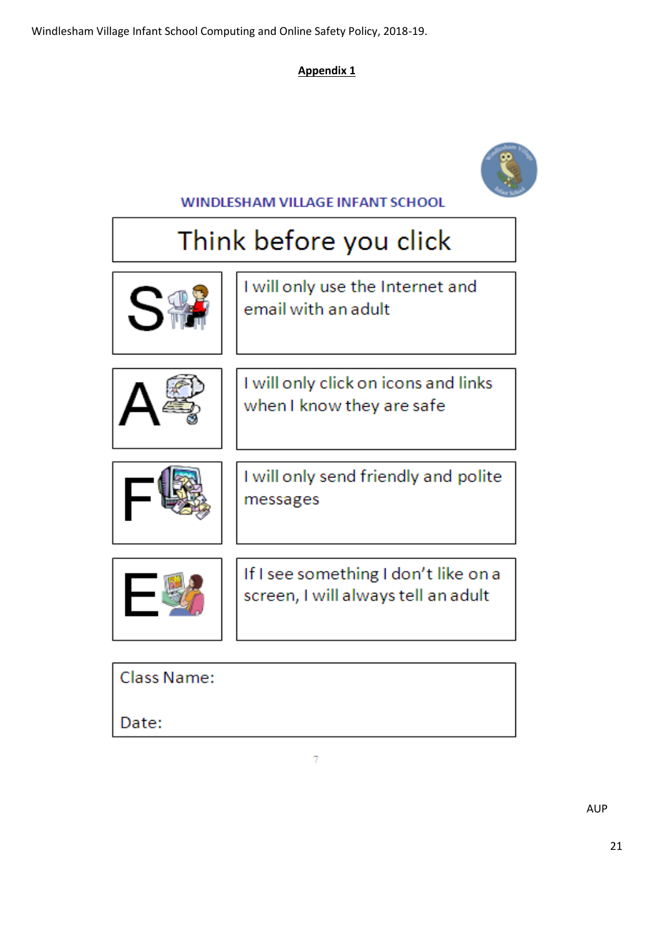# **Appendix 1**



**WINDLESHAM VILLAGE INFANT SCHOOL** 

# Think before you click



I will only use the Internet and email with an adult



I will only click on icons and links when I know they are safe



I will only send friendly and polite messages



If I see something I don't like on a screen, I will always tell an adult

| Class Name: |  |  |
|-------------|--|--|
|             |  |  |

Date: